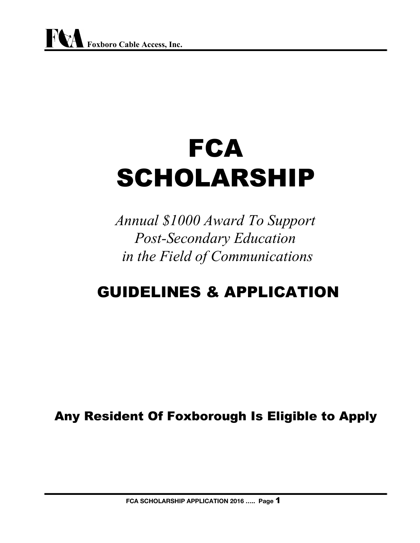# **FCA** SCHOLARSHIP

*Annual \$1000 Award To Support* **Post-Secondary Education** *in the Field of Communications*

## GUIDELINES & APPLICATION

Any Resident Of Foxborough Is Eligible to Apply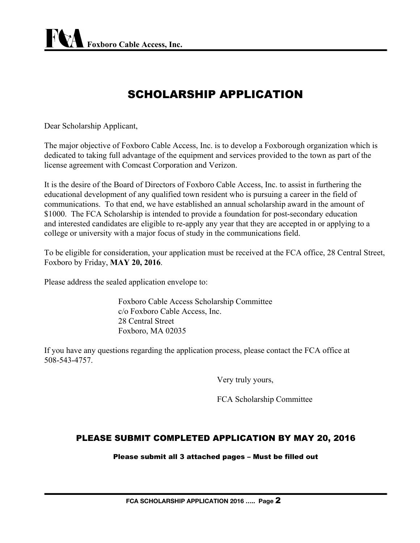### SCHOLARSHIP APPLICATION

Dear Scholarship Applicant,

The major objective of Foxboro Cable Access, Inc. is to develop a Foxborough organization which is dedicated to taking full advantage of the equipment and services provided to the town as part of the license agreement with Comcast Corporation and Verizon.

It is the desire of the Board of Directors of Foxboro Cable Access, Inc. to assist in furthering the educational development of any qualified town resident who is pursuing a career in the field of communications. To that end, we have established an annual scholarship award in the amount of \$1000. The FCA Scholarship is intended to provide a foundation for post-secondary education and interested candidates are eligible to re-apply any year that they are accepted in or applying to a college or university with a major focus of study in the communications field.

To be eligible for consideration, your application must be received at the FCA office, 28 Central Street, Foxboro by Friday, **MAY 20, 2016**.

Please address the sealed application envelope to:

Foxboro Cable Access Scholarship Committee c/o Foxboro Cable Access, Inc. 28 Central Street Foxboro, MA 02035

If you have any questions regarding the application process, please contact the FCA office at 5085434757.

Very truly yours,

FCA Scholarship Committee

#### PLEASE SUBMIT COMPLETED APPLICATION BY MAY 20, 2016

Please submit all 3 attached pages – Must be filled out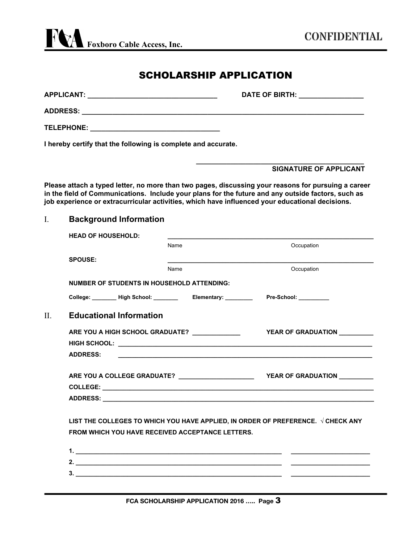#### SCHOLARSHIP APPLICATION

| APPLICANT:        | <b>DATE OF BIRTH:</b><br><u> 1990 - John Barn Barn, mars a</u> |
|-------------------|----------------------------------------------------------------|
| <b>ADDRESS:</b>   |                                                                |
| <b>TELEPHONE:</b> |                                                                |

**I hereby certify that the following is complete and accurate.**

#### **SIGNATURE OF APPLICANT**

**\_\_\_\_\_\_\_\_\_\_\_\_\_\_\_\_\_\_\_\_\_\_\_\_\_\_\_\_\_\_\_\_\_\_\_\_\_\_\_\_\_\_\_\_**

**Please attach a typed letter, no more than two pages, discussing your reasons for pursuing a career in the field of Communications. Include your plans for the future and any outside factors, such as job experience or extracurricular activities, which have influenced your educational decisions.**

#### I. **Background Information**

| <b>HEAD OF HOUSEHOLD:</b>      |                                                                                                                |                                                                                          |
|--------------------------------|----------------------------------------------------------------------------------------------------------------|------------------------------------------------------------------------------------------|
|                                | Name                                                                                                           | Occupation                                                                               |
| <b>SPOUSE:</b>                 |                                                                                                                |                                                                                          |
|                                | Name                                                                                                           | Occupation                                                                               |
|                                | <b>NUMBER OF STUDENTS IN HOUSEHOLD ATTENDING:</b>                                                              |                                                                                          |
|                                | College: Migh School: Market Leonard Milletter College: Milletter Milletter Milletter Milletter Milletter Mill |                                                                                          |
| <b>Educational Information</b> |                                                                                                                |                                                                                          |
|                                | ARE YOU A HIGH SCHOOL GRADUATE? ____________                                                                   | YEAR OF GRADUATION _________                                                             |
|                                |                                                                                                                |                                                                                          |
| <b>ADDRESS:</b>                |                                                                                                                |                                                                                          |
|                                |                                                                                                                |                                                                                          |
|                                |                                                                                                                |                                                                                          |
|                                |                                                                                                                |                                                                                          |
|                                |                                                                                                                | LIST THE COLLEGES TO WHICH YOU HAVE APPLIED, IN ORDER OF PREFERENCE. $\sqrt{}$ CHECK ANY |
|                                | <b>FROM WHICH YOU HAVE RECEIVED ACCEPTANCE LETTERS.</b>                                                        |                                                                                          |
|                                |                                                                                                                |                                                                                          |
|                                |                                                                                                                |                                                                                          |
|                                |                                                                                                                |                                                                                          |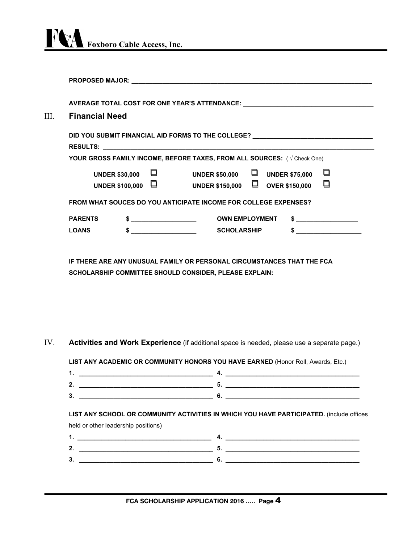

|                               |                                          | AVERAGE TOTAL COST FOR ONE YEAR'S ATTENDANCE: __________________________________             |
|-------------------------------|------------------------------------------|----------------------------------------------------------------------------------------------|
| <b>Financial Need</b><br>III. |                                          |                                                                                              |
|                               |                                          | DID YOU SUBMIT FINANCIAL AID FORMS TO THE COLLEGE? _____________________________             |
|                               |                                          | YOUR GROSS FAMILY INCOME, BEFORE TAXES, FROM ALL SOURCES: ( $\sqrt{C}$ Check One)            |
|                               | <b>UNDER \$30,000</b><br>UNDER \$100,000 | ◘<br>□<br>UNDER \$50,000 $\Box$ UNDER \$75,000<br>◘<br>UNDER \$150,000 $\Box$ OVER \$150,000 |
|                               |                                          | <b>FROM WHAT SOUCES DO YOU ANTICIPATE INCOME FOR COLLEGE EXPENSES?</b>                       |
| <b>PARENTS</b>                |                                          | <u> 1989 - Johann Barbara, martin basa</u><br><b>OWN EMPLOYMENT</b>                          |
| <b>LOANS</b>                  |                                          | <b>SCHOLARSHIP</b>                                                                           |

**IF THERE ARE ANY UNUSUAL FAMILY OR PERSONAL CIRCUMSTANCES THAT THE FCA SCHOLARSHIP COMMITTEE SHOULD CONSIDER, PLEASE EXPLAIN:**

IV. **Activities and Work Experience**(if additional space is needed, please use <sup>a</sup> separate page.)

**LIST ANY ACADEMIC OR COMMUNITY HONORS YOU HAVE EARNED** (Honor Roll, Awards, Etc.)

| -- |  |  |
|----|--|--|
| ω. |  |  |

**LIST ANY SCHOOL OR COMMUNITY ACTIVITIES IN WHICH YOU HAVE PARTICIPATED.** (include offices

| held or other leadership positions) |  |  |  |  |
|-------------------------------------|--|--|--|--|
| . .                                 |  |  |  |  |
| 2.                                  |  |  |  |  |
| 3.                                  |  |  |  |  |
|                                     |  |  |  |  |